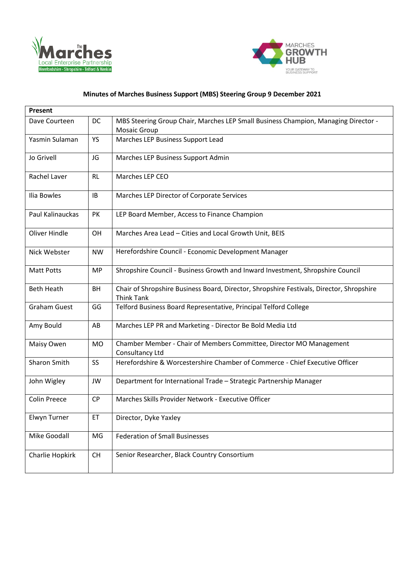



## **Minutes of Marches Business Support (MBS) Steering Group 9 December 2021**

| Present             |           |                                                                                                               |
|---------------------|-----------|---------------------------------------------------------------------------------------------------------------|
| Dave Courteen       | DC        | MBS Steering Group Chair, Marches LEP Small Business Champion, Managing Director -<br>Mosaic Group            |
| Yasmin Sulaman      | YS        | Marches LEP Business Support Lead                                                                             |
|                     |           |                                                                                                               |
| Jo Grivell          | JG        | Marches LEP Business Support Admin                                                                            |
| Rachel Laver        | <b>RL</b> | Marches LEP CEO                                                                                               |
| Ilia Bowles         | IB        | Marches LEP Director of Corporate Services                                                                    |
| Paul Kalinauckas    | PK        | LEP Board Member, Access to Finance Champion                                                                  |
| Oliver Hindle       | <b>OH</b> | Marches Area Lead - Cities and Local Growth Unit, BEIS                                                        |
| Nick Webster        | <b>NW</b> | Herefordshire Council - Economic Development Manager                                                          |
| <b>Matt Potts</b>   | <b>MP</b> | Shropshire Council - Business Growth and Inward Investment, Shropshire Council                                |
| <b>Beth Heath</b>   | BH        | Chair of Shropshire Business Board, Director, Shropshire Festivals, Director, Shropshire<br><b>Think Tank</b> |
| <b>Graham Guest</b> | GG        | Telford Business Board Representative, Principal Telford College                                              |
| Amy Bould           | AB        | Marches LEP PR and Marketing - Director Be Bold Media Ltd                                                     |
| Maisy Owen          | <b>MO</b> | Chamber Member - Chair of Members Committee, Director MO Management<br>Consultancy Ltd                        |
| Sharon Smith        | SS        | Herefordshire & Worcestershire Chamber of Commerce - Chief Executive Officer                                  |
| John Wigley         | JW        | Department for International Trade - Strategic Partnership Manager                                            |
| <b>Colin Preece</b> | <b>CP</b> | Marches Skills Provider Network - Executive Officer                                                           |
| Elwyn Turner        | ET        | Director, Dyke Yaxley                                                                                         |
| Mike Goodall        | MG        | <b>Federation of Small Businesses</b>                                                                         |
| Charlie Hopkirk     | <b>CH</b> | Senior Researcher, Black Country Consortium                                                                   |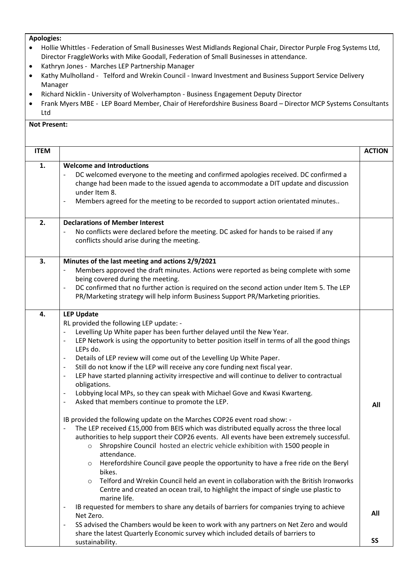## **Apologies:**

- Hollie Whittles Federation of Small Businesses West Midlands Regional Chair, Director Purple Frog Systems Ltd, Director FraggleWorks with Mike Goodall, Federation of Small Businesses in attendance.
- Kathryn Jones Marches LEP Partnership Manager
- Kathy Mulholland Telford and Wrekin Council Inward Investment and Business Support Service Delivery Manager
- Richard Nicklin University of Wolverhampton Business Engagement Deputy Director
- Frank Myers MBE LEP Board Member, Chair of Herefordshire Business Board Director MCP Systems Consultants Ltd

## **Not Present:**

| <b>ITEM</b> |                                                                                                                                                                                                                                                                                                                                                                                                                                                                                                                                                                                                                                                                                                                                                                                                                                                                                                                                                                                                                                                                                                                                                                                                                                                                                                                                                                                                                                                                                                                                                                                                                                         | <b>ACTION</b> |
|-------------|-----------------------------------------------------------------------------------------------------------------------------------------------------------------------------------------------------------------------------------------------------------------------------------------------------------------------------------------------------------------------------------------------------------------------------------------------------------------------------------------------------------------------------------------------------------------------------------------------------------------------------------------------------------------------------------------------------------------------------------------------------------------------------------------------------------------------------------------------------------------------------------------------------------------------------------------------------------------------------------------------------------------------------------------------------------------------------------------------------------------------------------------------------------------------------------------------------------------------------------------------------------------------------------------------------------------------------------------------------------------------------------------------------------------------------------------------------------------------------------------------------------------------------------------------------------------------------------------------------------------------------------------|---------------|
| 1.          | <b>Welcome and Introductions</b><br>DC welcomed everyone to the meeting and confirmed apologies received. DC confirmed a<br>$\overline{\phantom{a}}$<br>change had been made to the issued agenda to accommodate a DIT update and discussion<br>under Item 8.<br>Members agreed for the meeting to be recorded to support action orientated minutes<br>$\overline{\phantom{a}}$                                                                                                                                                                                                                                                                                                                                                                                                                                                                                                                                                                                                                                                                                                                                                                                                                                                                                                                                                                                                                                                                                                                                                                                                                                                         |               |
| 2.          | <b>Declarations of Member Interest</b><br>No conflicts were declared before the meeting. DC asked for hands to be raised if any<br>conflicts should arise during the meeting.                                                                                                                                                                                                                                                                                                                                                                                                                                                                                                                                                                                                                                                                                                                                                                                                                                                                                                                                                                                                                                                                                                                                                                                                                                                                                                                                                                                                                                                           |               |
| 3.          | Minutes of the last meeting and actions 2/9/2021<br>Members approved the draft minutes. Actions were reported as being complete with some<br>being covered during the meeting.<br>DC confirmed that no further action is required on the second action under Item 5. The LEP<br>$\overline{\phantom{a}}$<br>PR/Marketing strategy will help inform Business Support PR/Marketing priorities.                                                                                                                                                                                                                                                                                                                                                                                                                                                                                                                                                                                                                                                                                                                                                                                                                                                                                                                                                                                                                                                                                                                                                                                                                                            |               |
| 4.          | <b>LEP Update</b><br>RL provided the following LEP update: -<br>Levelling Up White paper has been further delayed until the New Year.<br>LEP Network is using the opportunity to better position itself in terms of all the good things<br>$\overline{\phantom{a}}$<br>LEPs do.<br>Details of LEP review will come out of the Levelling Up White Paper.<br>$\overline{\phantom{a}}$<br>Still do not know if the LEP will receive any core funding next fiscal year.<br>$\overline{\phantom{a}}$<br>LEP have started planning activity irrespective and will continue to deliver to contractual<br>obligations.<br>Lobbying local MPs, so they can speak with Michael Gove and Kwasi Kwarteng.<br>$\overline{\phantom{a}}$<br>Asked that members continue to promote the LEP.<br>$\overline{\phantom{a}}$<br>IB provided the following update on the Marches COP26 event road show: -<br>The LEP received £15,000 from BEIS which was distributed equally across the three local<br>authorities to help support their COP26 events. All events have been extremely successful.<br>Shropshire Council hosted an electric vehicle exhibition with 1500 people in<br>attendance.<br>Herefordshire Council gave people the opportunity to have a free ride on the Beryl<br>$\circ$<br>bikes.<br>Telford and Wrekin Council held an event in collaboration with the British Ironworks<br>$\circ$<br>Centre and created an ocean trail, to highlight the impact of single use plastic to<br>marine life.<br>IB requested for members to share any details of barriers for companies trying to achieve<br>$\overline{\phantom{a}}$<br>Net Zero. | All<br>All    |
|             | SS advised the Chambers would be keen to work with any partners on Net Zero and would<br>$\overline{\phantom{a}}$<br>share the latest Quarterly Economic survey which included details of barriers to<br>sustainability.                                                                                                                                                                                                                                                                                                                                                                                                                                                                                                                                                                                                                                                                                                                                                                                                                                                                                                                                                                                                                                                                                                                                                                                                                                                                                                                                                                                                                | <b>SS</b>     |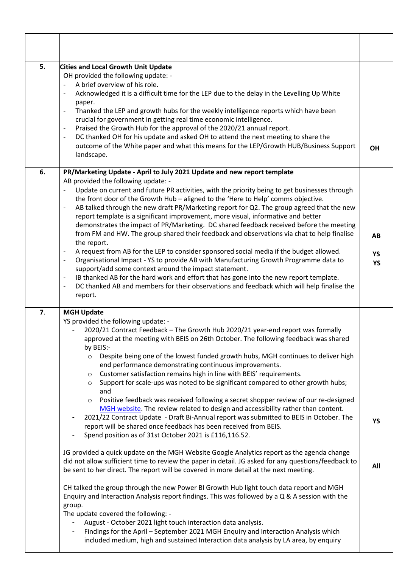| 5. | <b>Cities and Local Growth Unit Update</b><br>OH provided the following update: -<br>A brief overview of his role.<br>$\blacksquare$<br>Acknowledged it is a difficult time for the LEP due to the delay in the Levelling Up White<br>paper.<br>Thanked the LEP and growth hubs for the weekly intelligence reports which have been<br>$\qquad \qquad -$<br>crucial for government in getting real time economic intelligence.<br>Praised the Growth Hub for the approval of the 2020/21 annual report.<br>$\overline{\phantom{a}}$<br>DC thanked OH for his update and asked OH to attend the next meeting to share the<br>$\qquad \qquad -$<br>outcome of the White paper and what this means for the LEP/Growth HUB/Business Support<br>landscape.                                                                                                                                                                                                                                                                                                                                                                                                                                                                                                      | <b>OH</b>             |
|----|------------------------------------------------------------------------------------------------------------------------------------------------------------------------------------------------------------------------------------------------------------------------------------------------------------------------------------------------------------------------------------------------------------------------------------------------------------------------------------------------------------------------------------------------------------------------------------------------------------------------------------------------------------------------------------------------------------------------------------------------------------------------------------------------------------------------------------------------------------------------------------------------------------------------------------------------------------------------------------------------------------------------------------------------------------------------------------------------------------------------------------------------------------------------------------------------------------------------------------------------------------|-----------------------|
| 6. | PR/Marketing Update - April to July 2021 Update and new report template<br>AB provided the following update: -<br>Update on current and future PR activities, with the priority being to get businesses through<br>the front door of the Growth Hub - aligned to the 'Here to Help' comms objective.<br>AB talked through the new draft PR/Marketing report for Q2. The group agreed that the new<br>$\qquad \qquad \blacksquare$<br>report template is a significant improvement, more visual, informative and better<br>demonstrates the impact of PR/Marketing. DC shared feedback received before the meeting<br>from FM and HW. The group shared their feedback and observations via chat to help finalise<br>the report.<br>A request from AB for the LEP to consider sponsored social media if the budget allowed.<br>Organisational Impact - YS to provide AB with Manufacturing Growth Programme data to<br>$\qquad \qquad -$<br>support/add some context around the impact statement.<br>IB thanked AB for the hard work and effort that has gone into the new report template.<br>$\overline{\phantom{a}}$<br>DC thanked AB and members for their observations and feedback which will help finalise the<br>$\overline{\phantom{a}}$<br>report. | AB<br>YS<br><b>YS</b> |
| 7. | <b>MGH Update</b><br>YS provided the following update: -<br>2020/21 Contract Feedback - The Growth Hub 2020/21 year-end report was formally<br>approved at the meeting with BEIS on 26th October. The following feedback was shared<br>by BEIS:-<br>Despite being one of the lowest funded growth hubs, MGH continues to deliver high<br>$\circ$<br>end performance demonstrating continuous improvements.<br>Customer satisfaction remains high in line with BEIS' requirements.<br>$\circ$<br>Support for scale-ups was noted to be significant compared to other growth hubs;<br>$\circ$<br>and<br>Positive feedback was received following a secret shopper review of our re-designed<br>$\circ$<br>MGH website. The review related to design and accessibility rather than content.<br>2021/22 Contract Update - Draft Bi-Annual report was submitted to BEIS in October. The                                                                                                                                                                                                                                                                                                                                                                         | <b>YS</b>             |
|    | report will be shared once feedback has been received from BEIS.<br>Spend position as of 31st October 2021 is £116,116.52.<br>JG provided a quick update on the MGH Website Google Analytics report as the agenda change<br>did not allow sufficient time to review the paper in detail. JG asked for any questions/feedback to<br>be sent to her direct. The report will be covered in more detail at the next meeting.<br>CH talked the group through the new Power BI Growth Hub light touch data report and MGH<br>Enquiry and Interaction Analysis report findings. This was followed by a Q & A session with the<br>group.<br>The update covered the following: -<br>August - October 2021 light touch interaction data analysis.<br>Findings for the April - September 2021 MGH Enquiry and Interaction Analysis which                                                                                                                                                                                                                                                                                                                                                                                                                              | All                   |